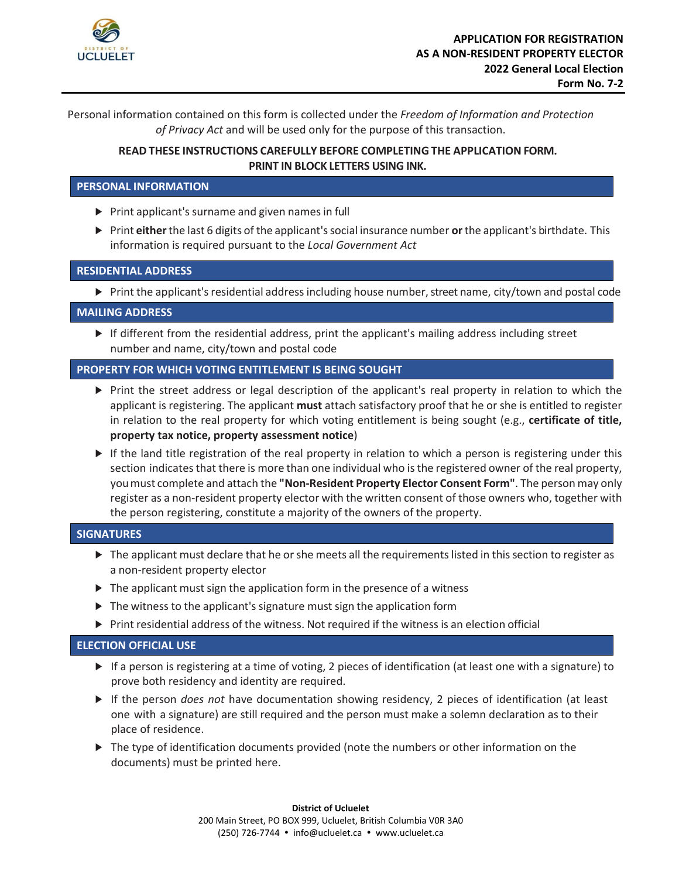

Personal information contained on this form is collected under the *Freedom of Information and Protection of Privacy Act* and will be used only for the purpose of this transaction.

# **READ THESE INSTRUCTIONS CAREFULLY BEFORE COMPLETING THE APPLICATION FORM. PRINT IN BLOCK LETTERS USING INK.**

## **PERSONAL INFORMATION**

- ▶ Print applicant's surname and given names in full
- ► Print **either**the last 6 digits of the applicant'ssocial insurance number **or**the applicant's birthdate. This information is required pursuant to the *Local Government Act*

## **RESIDENTIAL ADDRESS**

► Print the applicant's residential address including house number, street name, city/town and postal code

### **MAILING ADDRESS**

► If different from the residential address, print the applicant's mailing address including street number and name, city/town and postal code

# **PROPERTY FOR WHICH VOTING ENTITLEMENT IS BEING SOUGHT**

- ► Print the street address or legal description of the applicant's real property in relation to which the applicant is registering. The applicant **must** attach satisfactory proof that he or she is entitled to register in relation to the real property for which voting entitlement is being sought (e.g., **certificate of title, property tax notice, property assessment notice**)
- ► If the land title registration of the real property in relation to which a person is registering under this section indicates that there is more than one individual who is the registered owner of the real property, youmust complete and attach the **"Non-Resident Property Elector Consent Form"**. The person may only register as a non-resident property elector with the written consent of those owners who, together with the person registering, constitute a majority of the owners of the property.

### **SIGNATURES**

- ► The applicant must declare that he or she meets all the requirements listed in this section to register as a non-resident property elector
- $\triangleright$  The applicant must sign the application form in the presence of a witness
- ▶ The witness to the applicant's signature must sign the application form
- ► Print residential address of the witness. Not required if the witness is an election official

### **ELECTION OFFICIAL USE**

- ► If a person is registering at a time of voting, 2 pieces of identification (at least one with a signature) to prove both residency and identity are required.
- ► If the person *does not* have documentation showing residency, 2 pieces of identification (at least one with a signature) are still required and the person must make a solemn declaration as to their place of residence.
- ► The type of identification documents provided (note the numbers or other information on the documents) must be printed here.

**District of Ucluelet**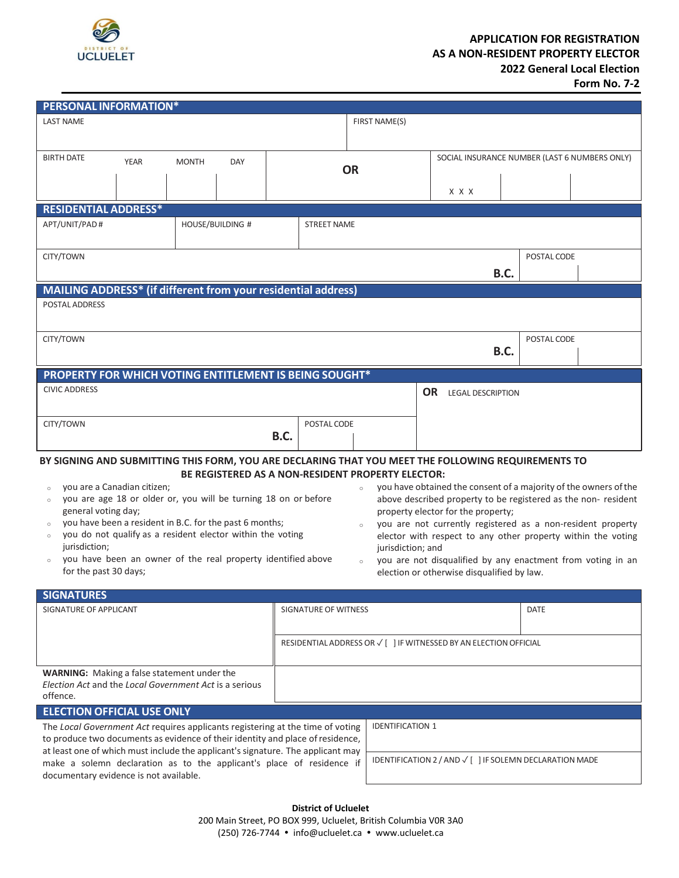

# **APPLICATION FOR REGISTRATION AS A NON-RESIDENT PROPERTY ELECTOR 2022 General Local Election**

**Form No. 7-2** 

| <b>PERSONAL INFORMATION*</b>                                                                                                                                                                                                                                                                                                                                                                                                                                                                                                                                                         |             |                         |                      |                                                                   |                                                         |                                                                                                                                                                                                                                                                                                                                                                                                                      |  |                                               |       |             |             |  |
|--------------------------------------------------------------------------------------------------------------------------------------------------------------------------------------------------------------------------------------------------------------------------------------------------------------------------------------------------------------------------------------------------------------------------------------------------------------------------------------------------------------------------------------------------------------------------------------|-------------|-------------------------|----------------------|-------------------------------------------------------------------|---------------------------------------------------------|----------------------------------------------------------------------------------------------------------------------------------------------------------------------------------------------------------------------------------------------------------------------------------------------------------------------------------------------------------------------------------------------------------------------|--|-----------------------------------------------|-------|-------------|-------------|--|
| <b>LAST NAME</b>                                                                                                                                                                                                                                                                                                                                                                                                                                                                                                                                                                     |             |                         |                      |                                                                   | FIRST NAME(S)                                           |                                                                                                                                                                                                                                                                                                                                                                                                                      |  |                                               |       |             |             |  |
|                                                                                                                                                                                                                                                                                                                                                                                                                                                                                                                                                                                      |             |                         |                      |                                                                   |                                                         |                                                                                                                                                                                                                                                                                                                                                                                                                      |  |                                               |       |             |             |  |
| <b>BIRTH DATE</b>                                                                                                                                                                                                                                                                                                                                                                                                                                                                                                                                                                    | <b>YEAR</b> | <b>MONTH</b>            | DAY                  |                                                                   |                                                         |                                                                                                                                                                                                                                                                                                                                                                                                                      |  | SOCIAL INSURANCE NUMBER (LAST 6 NUMBERS ONLY) |       |             |             |  |
|                                                                                                                                                                                                                                                                                                                                                                                                                                                                                                                                                                                      |             |                         |                      |                                                                   | <b>OR</b>                                               |                                                                                                                                                                                                                                                                                                                                                                                                                      |  |                                               |       |             |             |  |
|                                                                                                                                                                                                                                                                                                                                                                                                                                                                                                                                                                                      |             |                         |                      |                                                                   |                                                         |                                                                                                                                                                                                                                                                                                                                                                                                                      |  |                                               | X X X |             |             |  |
| <b>RESIDENTIAL ADDRESS*</b>                                                                                                                                                                                                                                                                                                                                                                                                                                                                                                                                                          |             |                         |                      |                                                                   |                                                         |                                                                                                                                                                                                                                                                                                                                                                                                                      |  |                                               |       |             |             |  |
| APT/UNIT/PAD#                                                                                                                                                                                                                                                                                                                                                                                                                                                                                                                                                                        |             | <b>HOUSE/BUILDING #</b> |                      |                                                                   | <b>STREET NAME</b>                                      |                                                                                                                                                                                                                                                                                                                                                                                                                      |  |                                               |       |             |             |  |
|                                                                                                                                                                                                                                                                                                                                                                                                                                                                                                                                                                                      |             |                         |                      |                                                                   |                                                         |                                                                                                                                                                                                                                                                                                                                                                                                                      |  |                                               |       |             |             |  |
| CITY/TOWN                                                                                                                                                                                                                                                                                                                                                                                                                                                                                                                                                                            |             |                         |                      |                                                                   |                                                         |                                                                                                                                                                                                                                                                                                                                                                                                                      |  |                                               |       |             | POSTAL CODE |  |
|                                                                                                                                                                                                                                                                                                                                                                                                                                                                                                                                                                                      |             |                         |                      |                                                                   |                                                         |                                                                                                                                                                                                                                                                                                                                                                                                                      |  |                                               |       |             |             |  |
| MAILING ADDRESS* (if different from your residential address)                                                                                                                                                                                                                                                                                                                                                                                                                                                                                                                        |             |                         |                      |                                                                   |                                                         |                                                                                                                                                                                                                                                                                                                                                                                                                      |  |                                               |       | <b>B.C.</b> |             |  |
| <b>POSTAL ADDRESS</b>                                                                                                                                                                                                                                                                                                                                                                                                                                                                                                                                                                |             |                         |                      |                                                                   |                                                         |                                                                                                                                                                                                                                                                                                                                                                                                                      |  |                                               |       |             |             |  |
|                                                                                                                                                                                                                                                                                                                                                                                                                                                                                                                                                                                      |             |                         |                      |                                                                   |                                                         |                                                                                                                                                                                                                                                                                                                                                                                                                      |  |                                               |       |             |             |  |
|                                                                                                                                                                                                                                                                                                                                                                                                                                                                                                                                                                                      |             |                         |                      |                                                                   |                                                         |                                                                                                                                                                                                                                                                                                                                                                                                                      |  |                                               |       |             |             |  |
| CITY/TOWN                                                                                                                                                                                                                                                                                                                                                                                                                                                                                                                                                                            |             |                         |                      |                                                                   |                                                         |                                                                                                                                                                                                                                                                                                                                                                                                                      |  |                                               |       | <b>B.C.</b> | POSTAL CODE |  |
|                                                                                                                                                                                                                                                                                                                                                                                                                                                                                                                                                                                      |             |                         |                      |                                                                   |                                                         |                                                                                                                                                                                                                                                                                                                                                                                                                      |  |                                               |       |             |             |  |
| PROPERTY FOR WHICH VOTING ENTITLEMENT IS BEING SOUGHT*                                                                                                                                                                                                                                                                                                                                                                                                                                                                                                                               |             |                         |                      |                                                                   |                                                         |                                                                                                                                                                                                                                                                                                                                                                                                                      |  |                                               |       |             |             |  |
| <b>CIVIC ADDRESS</b>                                                                                                                                                                                                                                                                                                                                                                                                                                                                                                                                                                 |             |                         | OR LEGAL DESCRIPTION |                                                                   |                                                         |                                                                                                                                                                                                                                                                                                                                                                                                                      |  |                                               |       |             |             |  |
|                                                                                                                                                                                                                                                                                                                                                                                                                                                                                                                                                                                      |             |                         |                      |                                                                   |                                                         |                                                                                                                                                                                                                                                                                                                                                                                                                      |  |                                               |       |             |             |  |
| CITY/TOWN                                                                                                                                                                                                                                                                                                                                                                                                                                                                                                                                                                            |             |                         |                      |                                                                   | POSTAL CODE                                             |                                                                                                                                                                                                                                                                                                                                                                                                                      |  |                                               |       |             |             |  |
|                                                                                                                                                                                                                                                                                                                                                                                                                                                                                                                                                                                      |             |                         |                      | <b>B.C.</b>                                                       |                                                         |                                                                                                                                                                                                                                                                                                                                                                                                                      |  |                                               |       |             |             |  |
| BY SIGNING AND SUBMITTING THIS FORM, YOU ARE DECLARING THAT YOU MEET THE FOLLOWING REQUIREMENTS TO<br>BE REGISTERED AS A NON-RESIDENT PROPERTY ELECTOR:<br>you are a Canadian citizen;<br>$\circ$<br>$\circ$<br>you are age 18 or older or, you will be turning 18 on or before<br>$\circ$<br>general voting day;<br>you have been a resident in B.C. for the past 6 months;<br>you do not qualify as a resident elector within the voting<br>jurisdiction;<br>jurisdiction; and<br>you have been an owner of the real property identified above<br>$\circ$<br>for the past 30 days; |             |                         |                      |                                                                   |                                                         | you have obtained the consent of a majority of the owners of the<br>above described property to be registered as the non- resident<br>property elector for the property;<br>you are not currently registered as a non-resident property<br>elector with respect to any other property within the voting<br>you are not disqualified by any enactment from voting in an<br>election or otherwise disqualified by law. |  |                                               |       |             |             |  |
| <b>SIGNATURES</b>                                                                                                                                                                                                                                                                                                                                                                                                                                                                                                                                                                    |             |                         |                      |                                                                   |                                                         |                                                                                                                                                                                                                                                                                                                                                                                                                      |  |                                               |       |             |             |  |
| SIGNATURE OF APPLICANT                                                                                                                                                                                                                                                                                                                                                                                                                                                                                                                                                               |             |                         |                      |                                                                   | <b>SIGNATURE OF WITNESS</b>                             |                                                                                                                                                                                                                                                                                                                                                                                                                      |  |                                               | DATE  |             |             |  |
|                                                                                                                                                                                                                                                                                                                                                                                                                                                                                                                                                                                      |             |                         |                      |                                                                   |                                                         |                                                                                                                                                                                                                                                                                                                                                                                                                      |  |                                               |       |             |             |  |
|                                                                                                                                                                                                                                                                                                                                                                                                                                                                                                                                                                                      |             |                         |                      | RESIDENTIAL ADDRESS OR √ [ ] IF WITNESSED BY AN ELECTION OFFICIAL |                                                         |                                                                                                                                                                                                                                                                                                                                                                                                                      |  |                                               |       |             |             |  |
|                                                                                                                                                                                                                                                                                                                                                                                                                                                                                                                                                                                      |             |                         |                      |                                                                   |                                                         |                                                                                                                                                                                                                                                                                                                                                                                                                      |  |                                               |       |             |             |  |
| <b>WARNING:</b> Making a false statement under the                                                                                                                                                                                                                                                                                                                                                                                                                                                                                                                                   |             |                         |                      |                                                                   |                                                         |                                                                                                                                                                                                                                                                                                                                                                                                                      |  |                                               |       |             |             |  |
| Election Act and the Local Government Act is a serious<br>offence.                                                                                                                                                                                                                                                                                                                                                                                                                                                                                                                   |             |                         |                      |                                                                   |                                                         |                                                                                                                                                                                                                                                                                                                                                                                                                      |  |                                               |       |             |             |  |
|                                                                                                                                                                                                                                                                                                                                                                                                                                                                                                                                                                                      |             |                         |                      |                                                                   |                                                         |                                                                                                                                                                                                                                                                                                                                                                                                                      |  |                                               |       |             |             |  |
| <b>ELECTION OFFICIAL USE ONLY</b><br><b>IDENTIFICATION 1</b>                                                                                                                                                                                                                                                                                                                                                                                                                                                                                                                         |             |                         |                      |                                                                   |                                                         |                                                                                                                                                                                                                                                                                                                                                                                                                      |  |                                               |       |             |             |  |
| The Local Government Act requires applicants registering at the time of voting<br>to produce two documents as evidence of their identity and place of residence,                                                                                                                                                                                                                                                                                                                                                                                                                     |             |                         |                      |                                                                   |                                                         |                                                                                                                                                                                                                                                                                                                                                                                                                      |  |                                               |       |             |             |  |
| at least one of which must include the applicant's signature. The applicant may                                                                                                                                                                                                                                                                                                                                                                                                                                                                                                      |             |                         |                      |                                                                   |                                                         |                                                                                                                                                                                                                                                                                                                                                                                                                      |  |                                               |       |             |             |  |
| make a solemn declaration as to the applicant's place of residence if                                                                                                                                                                                                                                                                                                                                                                                                                                                                                                                |             |                         |                      |                                                                   | IDENTIFICATION 2 / AND √ [ ] IF SOLEMN DECLARATION MADE |                                                                                                                                                                                                                                                                                                                                                                                                                      |  |                                               |       |             |             |  |
| documentary evidence is not available.                                                                                                                                                                                                                                                                                                                                                                                                                                                                                                                                               |             |                         |                      |                                                                   |                                                         |                                                                                                                                                                                                                                                                                                                                                                                                                      |  |                                               |       |             |             |  |
| <b>District of Ucluelet</b>                                                                                                                                                                                                                                                                                                                                                                                                                                                                                                                                                          |             |                         |                      |                                                                   |                                                         |                                                                                                                                                                                                                                                                                                                                                                                                                      |  |                                               |       |             |             |  |